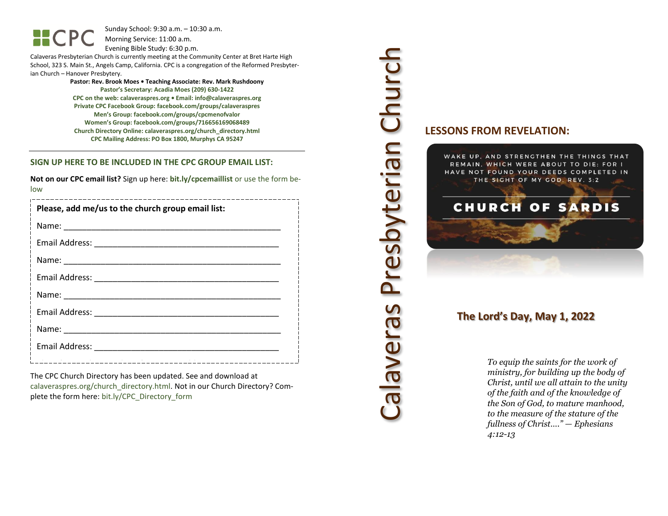Sunday School: 9:30 a.m. – 10:30 a.m. Morning Service: 11:00 a.m.

Evening Bible Study: 6:30 p.m.

Calaveras Presbyterian Church is currently meeting at the Community Center at Bret Harte High School, 323 S. Main St., Angels Camp, California. CPC is a congregation of the Reformed Presbyterian Church – Hanover Presbytery.

> **Pastor: Rev. Brook Moes • Teaching Associate: Rev. Mark Rushdoony Pastor's Secretary: Acadia Moes (209) 630-1422 CPC on the web: calaveraspres.org • Email: [info@calaveraspres.org](mailto:info@calaveraspres.org) Private CPC Facebook Group: facebook.com/groups/calaveraspres Men's Group: facebook.com/groups/cpcmenofvalor Women's Group: facebook.com/groups/716656169068489 Church Directory Online: calaveraspres.org/church\_directory.html CPC Mailing Address: PO Box 1800, Murphys CA 95247**

#### **SIGN UP HERE TO BE INCLUDED IN THE CPC GROUP EMAIL LIST:**

**Not on our CPC email list?** Sign up here: **bit.ly/cpcemaillist** or use the form below

| Please, add me/us to the church group email list: |
|---------------------------------------------------|
|                                                   |
|                                                   |
|                                                   |
|                                                   |
|                                                   |
|                                                   |
|                                                   |
|                                                   |
|                                                   |

The CPC Church Directory has been updated. See and download at calaveraspres.org/church\_directory.html. Not in our Church Directory? Complete the form here: bit.ly/CPC\_Directory\_form

Calaveras Presbyterian Church Presbyterian Church seuaners

### **LESSONS FROM REVELATION:**



### **The Lord's Day, May 1, 2022**

*To equip the saints for the work of ministry, for building up the body of Christ, until we all attain to the unity of the faith and of the knowledge of the Son of God, to mature manhood, to the measure of the stature of the fullness of Christ…." — Ephesians 4:12-13*